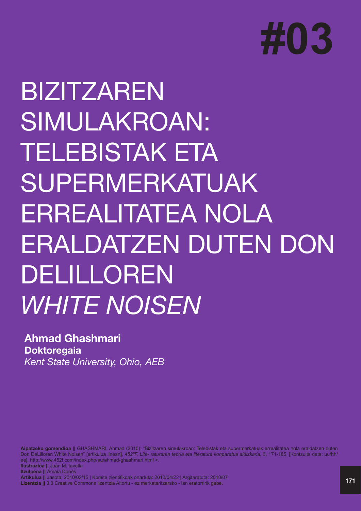

## BIZITZAREN SIMULAKROAN: TELEBISTAK ETA SUPERMERKATUAK ERREALITATEA NOLA ERALDATZEN DUTEN DON DELILLOREN *WHITE NOISEN*

## **Ahmad Ghashmari Doktoregaia** *Kent State University, Ohio, AEB*

**Aipatzeko gomendioa ||** GHASHMARI, Ahmad (2010): "Bizitzaren simulakroan: Telebistak eta supermerkatuak errealitatea nola eraldatzen duten Don DeLilloren White Noisen" [artikulua linean], *452ºF. Lite- raturaren teoria eta literatura konparatua aldizkaria*, 3, 171-185, [Kontsulta data: uu/hh/ ee], http://www.452f.com/index.php/eu/ahmad-ghashmari.html >. **Ilustrazioa ||** Juan M. tavella **Itzulpena ||** Amaia Donés **Artikulua ||** Jasota: 2010/02/15 | Komite zientifikoak onartuta: 2010/04/22 | Argitaratuta: 2010/07

**Lizentzia ||** 3.0 Creative Commons lizentzia Aitortu - ez merkataritzarako - lan eratorririk gabe.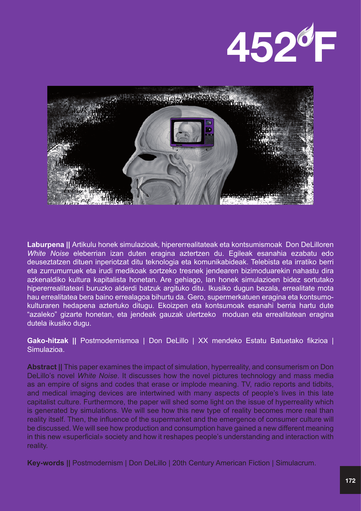



**Laburpena ||** Artikulu honek simulazioak, hipererrealitateak eta kontsumismoak Don DeLilloren *White Noise* eleberrian izan duten eragina aztertzen du. Egileak esanahia ezabatu edo deuseztatzen dituen inperiotzat ditu teknologia eta komunikabideak. Telebista eta irratiko berri eta zurrumurruek eta irudi medikoak sortzeko tresnek jendearen bizimoduarekin nahastu dira azkenaldiko kultura kapitalista honetan. Are gehiago, lan honek simulazioen bidez sortutako hipererrealitateari buruzko alderdi batzuk argituko ditu. Ikusiko dugun bezala, errealitate mota hau errealitatea bera baino errealagoa bihurtu da. Gero, supermerkatuen eragina eta kontsumokulturaren hedapena aztertuko ditugu. Ekoizpen eta kontsumoak esanahi berria hartu dute "azaleko" gizarte honetan, eta jendeak gauzak ulertzeko moduan eta errealitatean eragina dutela ikusiko dugu.

**Gako-hitzak ||** Postmodernismoa | Don DeLillo | XX mendeko Estatu Batuetako fikzioa | Simulazioa.

**Abstract ||** This paper examines the impact of simulation, hyperreality, and consumerism on Don DeLillo's novel *White Noise*. It discusses how the novel pictures technology and mass media as an empire of signs and codes that erase or implode meaning. TV, radio reports and tidbits, and medical imaging devices are intertwined with many aspects of people's lives in this late capitalist culture. Furthermore, the paper will shed some light on the issue of hyperreality which is generated by simulations. We will see how this new type of reality becomes more real than reality itself. Then, the influence of the supermarket and the emergence of consumer culture will be discussed. We will see how production and consumption have gained a new different meaning in this new «superficial» society and how it reshapes people's understanding and interaction with reality.

**Key-words ||** Postmodernism | Don DeLillo | 20th Century American Fiction | Simulacrum.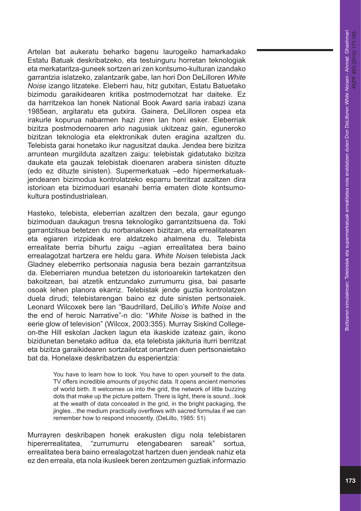Artelan bat aukeratu beharko bagenu laurogeiko hamarkadako Estatu Batuak deskribatzeko, eta testuinguru horretan teknologiak eta merkataritza-guneek sortzen ari zen kontsumo-kulturan izandako garrantzia islatzeko, zalantzarik gabe, lan hori Don DeLilloren *White Noise* izango litzateke. Eleberri hau, hitz gutxitan, Estatu Batuetako bizimodu garaikidearen kritika postmodernotzat har daiteke. Ez da harritzekoa lan honek National Book Award saria irabazi izana 1985ean, argitaratu eta gutxira. Gainera, DeLilloren ospea eta irakurle kopurua nabarmen hazi ziren lan honi esker. Eleberriak bizitza postmodernoaren arlo nagusiak ukitzeaz gain, eguneroko bizitzan teknologia eta elektronikak duten eragina azaltzen du. Telebista garai honetako ikur nagusitzat dauka. Jendea bere bizitza arruntean murgilduta azaltzen zaigu: telebistak gidatutako bizitza daukate eta gauzak telebistak dioenaren arabera sinisten dituzte (edo ez dituzte sinisten). Supermerkatuak –edo hipermerkatuakjendearen bizimodua kontrolatzeko esparru berritzat azaltzen dira istorioan eta bizimoduari esanahi berria ematen diote kontsumokultura postindustrialean.

Hasteko, telebista, eleberrian azaltzen den bezala, gaur egungo bizimoduan daukagun tresna teknologiko garrantzitsuena da. Toki garrantzitsua betetzen du norbanakoen bizitzan, eta errealitatearen eta egiaren irizpideak ere aldatzeko ahalmena du. Telebista errealitate berria bihurtu zaigu –agian errealitatea bera baino errealagotzat hartzera ere heldu gara. *White Noise*n telebista Jack Gladney eleberriko pertsonaia nagusia bera bezain garrantzitsua da. Eleberriaren mundua betetzen du istorioarekin tartekatzen den bakoitzean, bai atzetik entzundako zurrumurru gisa, bai pasarte osoak lehen planora ekarriz. Telebistak jende guztia kontrolatzen duela dirudi; telebistarengan baino ez dute sinisten pertsonaiek. Leonard Wilcoxek bere lan "Baudrillard, DeLillo's *White Noise* and the end of heroic Narrative"-n dio: "*White Noise* is bathed in the eerie glow of television" (Wilcox, 2003:355). Murray Siskind Collegeon-the Hill eskolan Jacken lagun eta ikaskide izateaz gain, ikono bizidunetan benetako aditua da, eta telebista jakituria iturri berritzat eta bizitza garaikidearen sortzailetzat onartzen duen pertsonaietako bat da. Honelaxe deskribatzen du esperientzia:

> You have to learn how to look. You have to open yourself to the data. TV offers incredible amounts of psychic data. It opens ancient memories of world birth. It welcomes us into the grid, the network of little buzzing dots that make up the picture pattern. There is light, there is sound...look at the wealth of data concealed in the grid, in the bright packaging, the jingles…the medium practically overflows with sacred formulas if we can remember how to respond innocently. (DeLillo, 1985: 51)

Murrayren deskribapen honek erakusten digu nola telebistaren hipererrealitatea, "zurrumurru etengabearen sareak" sortua, errealitatea bera baino errealagotzat hartzen duen jendeak nahiz eta ez den erreala, eta nola ikusleek beren zentzumen guztiak informazio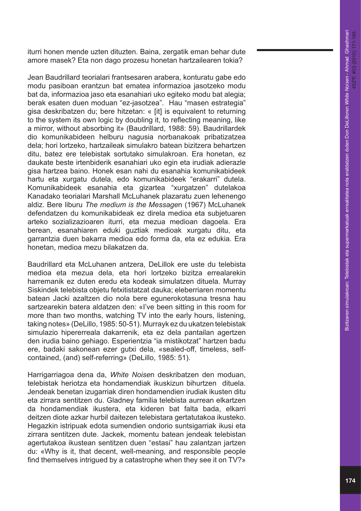iturri honen mende uzten dituzten. Baina, zergatik eman behar dute amore masek? Eta non dago prozesu honetan hartzailearen tokia?

Jean Baudrillard teorialari frantsesaren arabera, konturatu gabe edo modu pasiboan erantzun bat ematea informazioa jasotzeko modu bat da, informazioa jaso eta esanahiari uko egiteko modu bat alegia; berak esaten duen moduan "ez-jasotzea". Hau "masen estrategia" gisa deskribatzen du; bere hitzetan: « [it] is equivalent to returning to the system its own logic by doubling it, to reflecting meaning, like a mirror, without absorbing it» (Baudrillard, 1988: 59). Baudrillardek dio komunikabideen helburu nagusia norbanakoak pribatizatzea dela; hori lortzeko, hartzaileak simulakro batean bizitzera behartzen ditu, batez ere telebistak sortutako simulakroan. Era honetan, ez daukate beste irtenbiderik esanahiari uko egin eta irudiak adierazle gisa hartzea baino. Honek esan nahi du esanahia komunikabideek hartu eta xurgatu dutela, edo komunikabideek "erakarri" dutela. Komunikabideek esanahia eta gizartea "xurgatzen" dutelakoa Kanadako teorialari Marshall McLuhanek plazaratu zuen lehenengo aldiz. Bere liburu *The medium is the Message*n (1967) McLuhanek defendatzen du komunikabideak ez direla medioa eta subjetuaren arteko sozializazioaren iturri, eta mezua medioan dagoela. Era berean, esanahiaren eduki guztiak medioak xurgatu ditu, eta garrantzia duen bakarra medioa edo forma da, eta ez edukia. Era honetan, medioa mezu bilakatzen da.

Baudrillard eta McLuhanen antzera, DeLillok ere uste du telebista medioa eta mezua dela, eta hori lortzeko bizitza errealarekin harremanik ez duten eredu eta kodeak simulatzen dituela. Murray Siskindek telebista objetu fetxitistatzat dauka; eleberriaren momentu batean Jacki azaltzen dio nola bere egunerokotasuna tresna hau sartzearekin batera aldatzen den: «I've been sitting in this room for more than two months, watching TV into the early hours, listening, taking notes» (DeLillo, 1985: 50-51). Murrayk ez du ukatzen telebistak simulazio hipererreala dakarrenik, eta ez dela pantailan agertzen den irudia baino gehiago. Esperientzia "ia mistikotzat" hartzen badu ere, badaki sakonean ezer gutxi dela, «sealed-off, timeless, selfcontained, (and) self-referring» (DeLillo, 1985: 51).

Harrigarriagoa dena da, *White Noise*n deskribatzen den moduan, telebistak heriotza eta hondamendiak ikuskizun bihurtzen dituela. Jendeak benetan izugarriak diren hondamendien irudiak ikusten ditu eta zirrara sentitzen du. Gladney familia telebista aurrean elkartzen da hondamendiak ikustera, eta kideren bat falta bada, elkarri deitzen diote azkar hurbil daitezen telebistara gertatutakoa ikusteko. Hegazkin istripuak edota sumendien ondorio suntsigarriak ikusi eta zirrara sentitzen dute. Jackek, momentu batean jendeak telebistan agertutakoa ikustean sentitzen duen "estasi" hau zalantzan jartzen du: «Why is it, that decent, well-meaning, and responsible people find themselves intrigued by a catastrophe when they see it on TV?»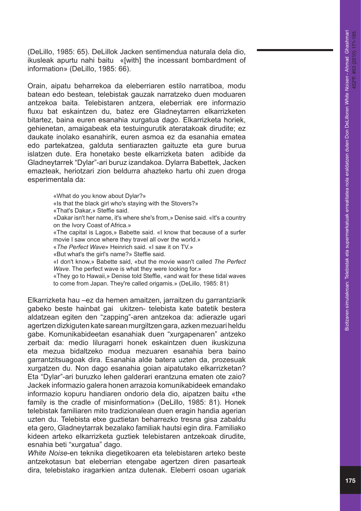(DeLillo, 1985: 65). DeLillok Jacken sentimendua naturala dela dio, ikusleak apurtu nahi baitu «[with] the incessant bombardment of information» (DeLillo, 1985: 66).

Orain, aipatu beharrekoa da eleberriaren estilo narratiboa, modu batean edo bestean, telebistak gauzak narratzeko duen moduaren antzekoa baita. Telebistaren antzera, eleberriak ere informazio fluxu bat eskaintzen du, batez ere Gladneytarren elkarrizketen bitartez, baina euren esanahia xurgatua dago. Elkarrizketa horiek, gehienetan, amaigabeak eta testuingurutik ateratakoak dirudite; ez daukate inolako esanahirik, euren asmoa ez da esanahia ematea edo partekatzea, galduta sentiarazten gaituzte eta gure burua islatzen dute. Era honetako beste elkarrizketa baten adibide da Gladneytarrek "Dylar"-ari buruz izandakoa. Dylarra Babettek, Jacken emazteak, heriotzari zion beldurra ahazteko hartu ohi zuen droga esperimentala da:

> «What do you know about Dylar?» «Is that the black girl who's staying with the Stovers?» «That's Dakar,» Steffie said. «Dakar isn't her name, it's where she's from,» Denise said. «It's a country on the Ivory Coast of Africa.» «The capital is Lagos,» Babette said. «I know that because of a surfer movie I saw once where they travel all over the world.» «*The Perfect Wave*» Heinrich said. «I saw it on TV.» «But what's the girl's name?» Steffie said. «I don't know,» Babette said, «but the movie wasn't called *The Perfect Wave*. The perfect wave is what they were looking for.» «They go to Hawaii,» Denise told Steffie, «and wait for these tidal waves to come from Japan. They're called origamis.» (DeLillo, 1985: 81)

Elkarrizketa hau –ez da hemen amaitzen, jarraitzen du garrantziarik gabeko beste hainbat gai ukitzen- telebista kate batetik bestera aldatzean egiten den "zapping"-aren antzekoa da: adierazle ugari agertzen dizkiguten kate sarean murgiltzen gara, azken mezuari heldu gabe. Komunikabideetan esanahiak duen "xurgapenaren" antzeko zerbait da: medio liluragarri honek eskaintzen duen ikuskizuna eta mezua bidaltzeko modua mezuaren esanahia bera baino garrantzitsuagoak dira. Esanahia alde batera uzten da, prozesuak xurgatzen du. Non dago esanahia goian aipatutako elkarrizketan? Eta "Dylar"-ari buruzko lehen galderari erantzuna ematen ote zaio? Jackek informazio galera honen arrazoia komunikabideek emandako informazio kopuru handiaren ondorio dela dio, aipatzen baitu «the family is the cradle of misinformation» (DeLillo, 1985: 81). Honek telebistak familiaren mito tradizionalean duen eragin handia agerian uzten du. Telebista etxe guztietan beharrezko tresna gisa zabaldu eta gero, Gladneytarrak bezalako familiak hautsi egin dira. Familiako kideen arteko elkarrizketa guztiek telebistaren antzekoak dirudite, esnahia beti "xurgatua" dago.

*White Noise*-en teknika diegetikoaren eta telebistaren arteko beste antzekotasun bat eleberrian etengabe agertzen diren pasarteak dira, telebistako iragarkien antza dutenak. Eleberri osoan ugariak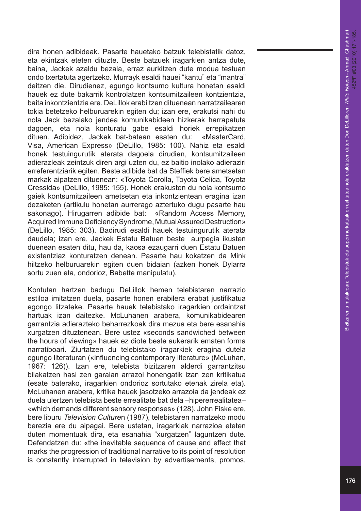dira honen adibideak. Pasarte hauetako batzuk telebistatik datoz, eta ekintzak eteten dituzte. Beste batzuek iragarkien antza dute, baina, Jackek azaldu bezala, erraz aurkitzen dute modua testuan ondo txertatuta agertzeko. Murrayk esaldi hauei "kantu" eta "mantra" deitzen die. Dirudienez, egungo kontsumo kultura honetan esaldi hauek ez dute bakarrik kontrolatzen kontsumitzaileen kontzientzia, baita inkontzientzia ere. DeLillok erabiltzen dituenean narratzailearen tokia betetzeko helburuarekin egiten du; izan ere, erakutsi nahi du nola Jack bezalako jendea komunikabideen hizkerak harrapatuta dagoen, eta nola konturatu gabe esaldi horiek errepikatzen dituen. Adibidez, Jackek bat-batean esaten du: «MasterCard, Visa, American Express» (DeLillo, 1985: 100). Nahiz eta esaldi honek testuingurutik aterata dagoela dirudien, kontsumitzaileen adierazleak zeintzuk diren argi uzten du, ez baitio inolako adieraziri erreferentziarik egiten. Beste adibide bat da Steffiek bere ametsetan markak aipatzen dituenean: «Toyota Corolla, Toyota Celica, Toyota Cressida» (DeLillo, 1985: 155). Honek erakusten du nola kontsumo gaiek kontsumitzaileen ametsetan eta inkontzientean eragina izan dezaketen (artikulu honetan aurrerago aztertuko dugu pasarte hau sakonago). Hirugarren adibide bat: «Random Access Memory, Acquired Immune Deficiency Syndrome, Mutual Assured Destruction» (DeLillo, 1985: 303). Badirudi esaldi hauek testuingurutik aterata daudela; izan ere, Jackek Estatu Batuen beste aurpegia ikusten duenean esaten ditu, hau da, kaosa ezaugarri duen Estatu Batuen existentziaz konturatzen denean. Pasarte hau kokatzen da Mink hiltzeko helburuarekin egiten duen bidaian (azken honek Dylarra sortu zuen eta, ondorioz, Babette manipulatu).

Kontutan hartzen badugu DeLillok hemen telebistaren narrazio estiloa imitatzen duela, pasarte honen erabilera erabat justifikatua egongo litzateke. Pasarte hauek telebistako iragarkien ordaintzat hartuak izan daitezke. McLuhanen arabera, komunikabidearen garrantzia adierazteko beharrezkoak dira mezua eta bere esanahia xurgatzen dituztenean. Bere ustez «seconds sandwiched between the hours of viewing» hauek ez diote beste aukerarik ematen forma narratiboari. Ziurtatzen du telebistako iragarkiek eragina dutela egungo literaturan («influencing contemporary literature» (McLuhan, 1967: 126)). Izan ere, telebista bizitzaren alderdi garrantzitsu bilakatzen hasi zen garaian arrazoi honengatik izan zen kritikatua (esate baterako, iragarkien ondorioz sortutako etenak zirela eta). McLuhanen arabera, kritika hauek jasotzeko arrazoia da jendeak ez duela ulertzen telebista beste errealitate bat dela –hipererrealitatea– «which demands different sensory responses» (128). John Fiske ere, bere liburu *Television Culture*n (1987), telebistaren narratzeko modu berezia ere du aipagai. Bere ustetan, iragarkiak narrazioa eteten duten momentuak dira, eta esanahia "xurgatzen" laguntzen dute. Defendatzen du: «the inevitable sequence of cause and effect that marks the progression of traditional narrative to its point of resolution is constantly interrupted in television by advertisements, promos,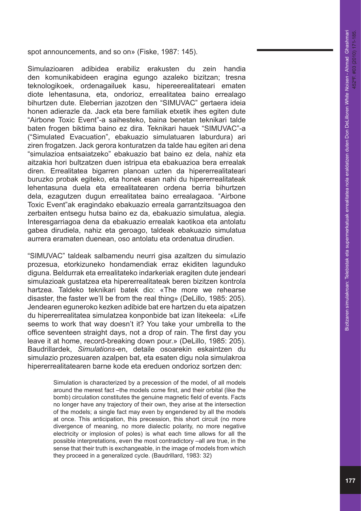spot announcements, and so on» (Fiske, 1987: 145).

Simulazioaren adibidea erabiliz erakusten du zein handia den komunikabideen eragina egungo azaleko bizitzan; tresna teknologikoek, ordenagailuek kasu, hipereerealitateari ematen diote lehentasuna, eta, ondorioz, errealitatea baino errealago bihurtzen dute. Eleberrian jazotzen den "SIMUVAC" gertaera ideia honen adierazle da. Jack eta bere familiak etxetik ihes egiten dute "Airbone Toxic Event"-a saihesteko, baina benetan teknikari talde baten frogen biktima baino ez dira. Teknikari hauek "SIMUVAC"-a ("Simulated Evacuation", ebakuazio simulatuaren laburdura) ari ziren frogatzen. Jack gerora konturatzen da talde hau egiten ari dena "simulazioa entsaiatzeko" ebakuazio bat baino ez dela, nahiz eta aitzakia hori bultzatzen duen istripua eta ebakuazioa bera errealak diren. Errealitatea bigarren planoan uzten da hipererrealitateari buruzko probak egiteko, eta honek esan nahi du hipererrealitateak lehentasuna duela eta errealitatearen ordena berria bihurtzen dela, ezagutzen dugun errealitatea baino errealagaoa. "Airbone Toxic Event"ak eragindako ebakuazio erreala garrantzitsuagoa den zerbaiten entsegu hutsa baino ez da, ebakuazio simulatua, alegia. Interesgarriagoa dena da ebakuazio errealak kaotikoa eta antolatu gabea dirudiela, nahiz eta geroago, taldeak ebakuazio simulatua aurrera eramaten duenean, oso antolatu eta ordenatua dirudien.

"SIMUVAC" taldeak salbamendu neurri gisa azaltzen du simulazio prozesua, etorkizuneko hondamendiak erraz ekiditen lagunduko diguna. Beldurrak eta errealitateko indarkeriak eragiten dute jendeari simulazioak gustatzea eta hipererrealitateak beren bizitzen kontrola hartzea. Taldeko teknikari batek dio: «The more we rehearse disaster, the faster we'll be from the real thing» (DeLillo, 1985: 205). Jendearen eguneroko kezken adibide bat ere hartzen du eta aipatzen du hipererrealitatea simulatzea konponbide bat izan litekeela: «Life seems to work that way doesn't it? You take your umbrella to the office seventeen straight days, not a drop of rain. The first day you leave it at home, record-breaking down pour.» (DeLillo, 1985: 205). Baudrillardek, *Simulations-*en, detaile osoarekin eskaintzen du simulazio prozesuaren azalpen bat, eta esaten digu nola simulakroa hipererrealitatearen barne kode eta ereduen ondorioz sortzen den:

> Simulation is characterized by a precession of the model, of all models around the merest fact –the models come first, and their orbital (like the bomb) circulation constitutes the genuine magnetic field of events. Facts no longer have any trajectory of their own, they arise at the intersection of the models; a single fact may even by engendered by all the models at once. This anticipation, this precession, this short circuit (no more divergence of meaning, no more dialectic polarity, no more negative electricity or implosion of poles) is what each time allows for all the possible interpretations, even the most contradictory –all are true, in the sense that their truth is exchangeable, in the image of models from which they proceed in a generalized cycle. (Baudrillard, 1983: 32)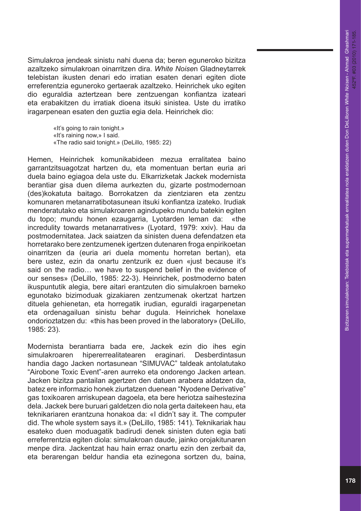Simulakroa jendeak sinistu nahi duena da; beren eguneroko bizitza azaltzeko simulakroan oinarritzen dira. *White Noise*n Gladneytarrek telebistan ikusten denari edo irratian esaten denari egiten diote erreferentzia eguneroko gertaerak azaltzeko. Heinrichek uko egiten dio eguraldia aztertzean bere zentzuengan konfiantza izateari eta erabakitzen du irratiak dioena itsuki sinistea. Uste du irratiko iragarpenean esaten den guztia egia dela. Heinrichek dio:

> «It's going to rain tonight.» «It's raining now,» I said. «The radio said tonight.» (DeLillo, 1985: 22)

Hemen, Heinrichek komunikabideen mezua erralitatea baino garrantzitsuagotzat hartzen du, eta momentuan bertan euria ari duela baino egiagoa dela uste du. Elkarrizketak Jackek modernista berantiar gisa duen dilema aurkezten du, gizarte postmodernoan (des)kokatuta baitago. Borrokatzen da zientziaren eta zentzu komunaren metanarratibotasunean itsuki konfiantza izateko. Irudiak menderatutako eta simulakroaren agindupeko mundu batekin egiten du topo; mundu honen ezaugarria, Lyotarden leman da: «the incredulity towards metanarratives» (Lyotard, 1979: xxiv). Hau da postmodernitatea. Jack saiatzen da sinisten duena defendatzen eta horretarako bere zentzumenek igertzen dutenaren froga enpirikoetan oinarritzen da (euria ari duela momentu horretan bertan), eta bere ustez, ezin da onartu zentzurik ez duen «just because it's said on the radio… we have to suspend belief in the evidence of our senses» (DeLillo, 1985: 22-3). Heinrichek, postmoderno baten ikuspuntutik alegia, bere aitari erantzuten dio simulakroen barneko egunotako bizimoduak gizakiaren zentzumenak okertzat hartzen dituela gehienetan, eta horregatik irudian, eguraldi iragarpenetan eta ordenagailuan sinistu behar dugula. Heinrichek honelaxe ondorioztatzen du: «this has been proved in the laboratory» (DeLillo, 1985: 23).

Modernista berantiarra bada ere, Jackek ezin dio ihes egin simulakroaren hipererrealitatearen eraginari. Desberdintasun handia dago Jacken nortasunean "SIMUVAC" taldeak antolatutako "Airobone Toxic Event"-aren aurreko eta ondorengo Jacken artean. Jacken bizitza pantailan agertzen den datuen arabera aldatzen da, batez ere informazio honek ziurtatzen duenean "Nyodene Derivative" gas toxikoaren arriskupean dagoela, eta bere heriotza saihestezina dela. Jackek bere buruari galdetzen dio nola gerta daitekeen hau, eta teknikariaren erantzuna honakoa da: «I didn't say it. The computer did. The whole system says it.» (DeLillo, 1985: 141). Teknikariak hau esateko duen moduagatik badirudi denek sinisten duten egia bati erreferrentzia egiten diola: simulakroan daude, jainko orojakitunaren menpe dira. Jackentzat hau hain erraz onartu ezin den zerbait da, eta berarengan beldur handia eta ezinegona sortzen du, baina,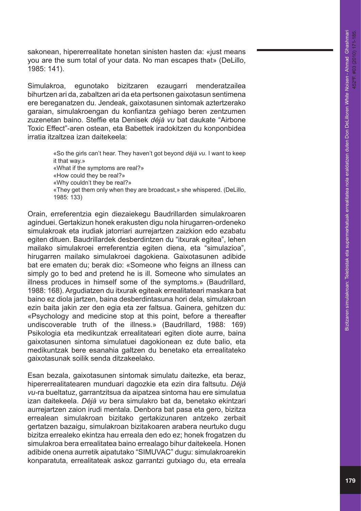sakonean, hipererrealitate honetan sinisten hasten da: «just means you are the sum total of your data. No man escapes that» (DeLillo, 1985: 141).

Simulakroa, egunotako bizitzaren ezaugarri menderatzailea bihurtzen ari da, zabaltzen ari da eta pertsonen gaixotasun sentimena ere bereganatzen du. Jendeak, gaixotasunen sintomak aztertzerako garaian, simulakroengan du konfiantza gehiago beren zentzumen zuzenetan baino. Steffie eta Denisek *déjà vu* bat daukate "Airbone Toxic Effect"-aren ostean, eta Babettek iradokitzen du konponbidea irratia itzaltzea izan daitekeela:

> «So the girls can't hear. They haven't got beyond *déjà vu.* I want to keep it that way.» «What if the symptoms are real?» «How could they be real?» «Why couldn't they be real?» «They get them only when they are broadcast,» she whispered. (DeLillo, 1985: 133)

Orain, erreferentzia egin diezaiekegu Baudrillarden simulakroaren aginduei. Gertakizun honek erakusten digu nola hirugarren-ordeneko simulakroak eta irudiak jatorriari aurrejartzen zaizkion edo ezabatu egiten dituen. Baudrillardek desberdintzen du "itxurak egitea", lehen mailako simulakroei erreferentzia egiten diena, eta "simulazioa", hirugarren mailako simulakroei dagokiena. Gaixotasunen adibide bat ere ematen du; berak dio: «Someone who feigns an illness can simply go to bed and pretend he is ill. Someone who simulates an illness produces in himself some of the symptoms.» (Baudrillard, 1988: 168). Argudiatzen du itxurak egiteak errealitateari maskara bat baino ez diola jartzen, baina desberdintasuna hori dela, simulakroan ezin baita jakin zer den egia eta zer faltsua. Gainera, gehitzen du: «Psychology and medicine stop at this point, before a thereafter undiscoverable truth of the illness.» (Baudrillard, 1988: 169) Psikologia eta medikuntzak errealitateari egiten diote aurre, baina gaixotasunen sintoma simulatuei dagokionean ez dute balio, eta medikuntzak bere esanahia galtzen du benetako eta errealitateko gaixotasunak soilik senda ditzakeelako.

Esan bezala, gaixotasunen sintomak simulatu daitezke, eta beraz, hipererrealitatearen munduari dagozkie eta ezin dira faltsutu. *Déjà vu-*ra bueltatuz, garrantzitsua da aipatzea sintoma hau ere simulatua izan daitekeela. *Déjà vu* bera simulakro bat da, benetako ekintzari aurrejartzen zaion irudi mentala. Denbora bat pasa eta gero, bizitza errealean simulakroan bizitako gertakizunaren antzeko zerbait gertatzen bazaigu, simulakroan bizitakoaren arabera neurtuko dugu bizitza errealeko ekintza hau erreala den edo ez; honek frogatzen du simulakroa bera errealitatea baino errealago bihur daitekeela. Honen adibide onena aurretik aipatutako "SIMUVAC" dugu: simulakroarekin konparatuta, errealitateak askoz garrantzi gutxiago du, eta erreala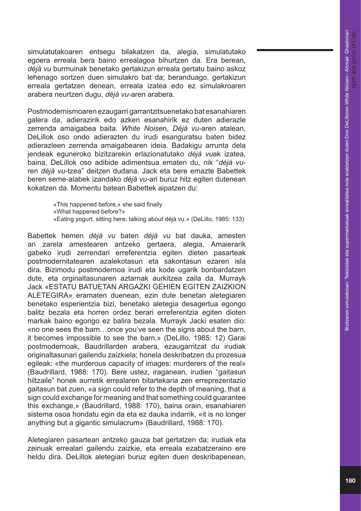simulatutakoaren entsegu bilakatzen da, alegia, simulatutako egoera erreala bera baino errealagoa bihurtzen da. Era berean, *déjà vu* burmuinak benetako gertakizun erreala gertatu baino askoz lehenago sortzen duen simulakro bat da; beranduago, gertakizun erreala gertatzen denean, erreala izatea edo ez simulakroaren arabera neurtzen dugu, *déjà vu-*aren arabera*.* 

Postmodernismoaren ezaugarri garrantzitsuenetako bat esanahiaren galera da, adierazirik edo azken esanahirik ez duten adierazle zerrenda amaigabea baita. *White Noise*n, *Déjà vu-*aren atalean, DeLillok oso ondo adierazten du irudi esanguratsu baten bidez adierazleen zerrenda amaigabearen ideia. Badakigu arrunta dela jendeak eguneroko bizitzarekin erlazionatutako *déjà vu*ak izatea, baina, DeLillok oso adibide adimentsua ematen du, nik "*déjà vu* ren *déjà vu-*tzea" deitzen dudana. Jack eta bere emazte Babettek beren seme-alabek izandako *déjà vu-*ari buruz hitz egiten dutenean kokatzen da. Momentu batean Babettek aipatzen du:

> «This happened before,» she said finally «What happened before?» «Eating yogurt, sitting here, talking about déjà vu.» (DeLillo, 1985: 133)

Babettek hemen *déjà vu* baten *déjà vu* bat dauka, amesten ari zarela amestearen antzeko gertaera, alegia. Amaierarik gabeko irudi zerrendari erreferentzia egiten dieten pasarteak postmodernitatearen azalekotasun eta sakontasun ezaren isla dira. Bizimodu postmodernoa irudi eta kode ugarik bonbardatzen dute, eta orginaltasunaren aztarnak aurkitzea zaila da. Murrayk Jack «ESTATU BATUETAN ARGAZKI GEHIEN EGITEN ZAIZKION ALETEGIRA» eramaten duenean, ezin dute benetan aletegiaren benetako esperientzia bizi, benetako aletegia desagertua egongo balitz bezala eta horren ordez berari erreferentzia egiten dioten markak baino egongo ez balira bezala. Murrayk Jacki esaten dio: «no one sees the barn…once you've seen the signs about the barn, it becomes impossible to see the barn.» (DeLillo, 1985: 12) Garai postmodernoak, Baudrillarden arabera, ezaugarritzat du irudiak originaltasunari gailendu zaizkiela; honela deskribatzen du prozesua egileak: «the murderous capacity of images: murderers of the real» (Baudrillard, 1988: 170). Bere ustez, iraganean, irudien "gaitasun hiltzaile" honek aurretik errealaren bitartekaria zen erreprezentazio gaitasun bat zuen, «a sign could refer to the depth of meaning, that a sign could exchange for meaning and that something could guarantee this exchange,» (Baudrillard, 1988: 170), baina orain, esanahiaren sistema osoa hondatu egin da eta ez dauka indarrik, «it is no longer anything but a gigantic simulacrum» (Baudrillard, 1988: 170).

Aletegiaren pasartean antzeko gauza bat gertatzen da; irudiak eta zeinuak errealari gailendu zaizkie, eta erreala ezabatzeraino ere heldu dira. DeLillok aletegiari buruz egiten duen deskribapenean,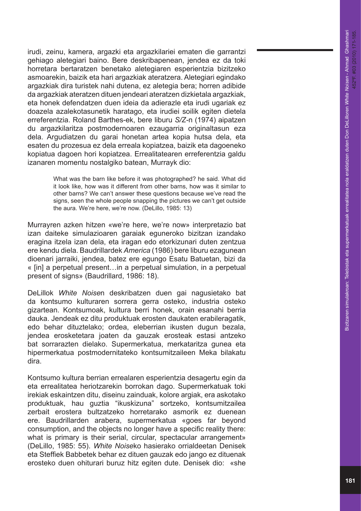irudi, zeinu, kamera, argazki eta argazkilariei ematen die garrantzi gehiago aletegiari baino. Bere deskribapenean, jendea ez da toki horretara bertaratzen benetako aletegiaren esperientzia bizitzeko asmoarekin, baizik eta hari argazkiak ateratzera. Aletegiari egindako argazkiak dira turistek nahi dutena, ez aletegia bera; horren adibide da argazkiak ateratzen dituen jendeari ateratzen dizkietala argazkiak, eta honek defendatzen duen ideia da adierazle eta irudi ugariak ez doazela azalekotasunetik haratago, eta irudiei soilik egiten dietela erreferentzia. Roland Barthes-ek, bere liburu *S/Z-*n (1974) aipatzen du argazkilaritza postmodernoaren ezaugarria originaltasun eza dela. Argudiatzen du garai honetan artea kopia hutsa dela, eta esaten du prozesua ez dela erreala kopiatzea, baizik eta dagoeneko kopiatua dagoen hori kopiatzea. Errealitatearen erreferentzia galdu izanaren momentu nostalgiko batean, Murrayk dio:

> What was the barn like before it was photographed? he said. What did it look like, how was it different from other barns, how was it similar to other barns? We can't answer these questions because we've read the signs, seen the whole people snapping the pictures we can't get outside the aura. We're here, we're now. (DeLillo, 1985: 13)

Murrayren azken hitzen «we're here, we're now» interpretazio bat izan daiteke simulazioaren garaiak eguneroko bizitzan izandako eragina itzela izan dela, eta iragan edo etorkizunari duten zentzua ere kendu diela. Baudrillardek *America* (1986) bere liburu ezagunean dioenari jarraiki, jendea, batez ere egungo Esatu Batuetan, bizi da « [in] a perpetual present…in a perpetual simulation, in a perpetual present of signs» (Baudrillard, 1986: 18).

DeLillok *White Noise*n deskribatzen duen gai nagusietako bat da kontsumo kulturaren sorrera gerra osteko, industria osteko gizartean. Kontsumoak, kultura berri honek, orain esanahi berria dauka. Jendeak ez ditu produktuak erosten daukaten erabileragatik, edo behar dituztelako; ordea, eleberrian ikusten dugun bezala, jendea erosketetara joaten da gauzak erosteak estasi antzeko bat sorrarazten dielako. Supermerkatua, merkataritza gunea eta hipermerkatua postmodernitateko kontsumitzaileen Meka bilakatu dira.

Kontsumo kultura berrian errealaren esperientzia desagertu egin da eta errealitatea heriotzarekin borrokan dago. Supermerkatuak toki irekiak eskaintzen ditu, diseinu zainduak, kolore argiak, era askotako produktuak, hau guztia "ikuskizuna" sortzeko, kontsumitzailea zerbait erostera bultzatzeko horretarako asmorik ez duenean ere. Baudrillarden arabera, supermerkatua «goes far beyond consumption, and the objects no longer have a specific reality there: what is primary is their serial, circular, spectacular arrangement» (DeLillo, 1985: 55). *White Noise*ko hasierako orrialdeetan Denisek eta Steffiek Babbetek behar ez dituen gauzak edo jango ez dituenak erosteko duen ohiturari buruz hitz egiten dute. Denisek dio: «she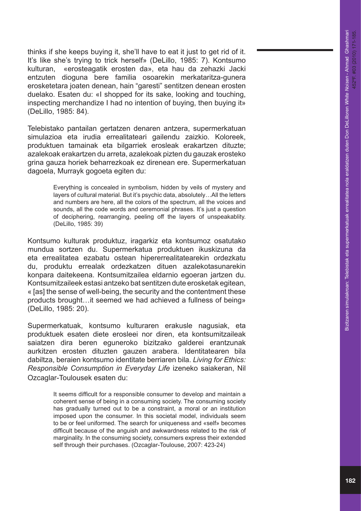thinks if she keeps buying it, she'll have to eat it just to get rid of it. It's like she's trying to trick herself» (DeLillo, 1985: 7). Kontsumo kulturan, «erosteagatik erosten da», eta hau da zehazki Jacki entzuten dioguna bere familia osoarekin merkataritza-gunera erosketetara joaten denean, hain "garesti" sentitzen denean erosten duelako. Esaten du: «I shopped for its sake, looking and touching, inspecting merchandize I had no intention of buying, then buying it» (DeLillo, 1985: 84).

Telebistako pantailan gertatzen denaren antzera, supermerkatuan simulazioa eta irudia errealitateari gailendu zaizkio. Koloreek, produktuen tamainak eta bilgarriek erosleak erakartzen dituzte; azalekoak erakartzen du arreta, azalekoak pizten du gauzak erosteko grina gauza horiek beharrezkoak ez direnean ere. Supermerkatuan dagoela, Murrayk gogoeta egiten du:

> Everything is concealed in symbolism, hidden by veils of mystery and layers of cultural material. But it's psychic data, absolutely…All the letters and numbers are here, all the colors of the spectrum, all the voices and sounds, all the code words and ceremonial phrases. It's just a question of deciphering, rearranging, peeling off the layers of unspeakablity. (DeLillo, 1985: 39)

Kontsumo kulturak produktuz, iragarkiz eta kontsumoz osatutako mundua sortzen du. Supermerkatua produktuen ikuskizuna da eta errealitatea ezabatu ostean hipererrealitatearekin ordezkatu du, produktu errealak ordezkatzen dituen azalekotasunarekin konpara daitekeena. Kontsumitzailea eldarnio egoeran jartzen du. Kontsumitzaileek estasi antzeko bat sentitzen dute erosketak egitean, « [as] the sense of well-being, the security and the contentment these products brought…it seemed we had achieved a fullness of being» (DeLillo, 1985: 20).

Supermerkatuak, kontsumo kulturaren erakusle nagusiak, eta produktuek esaten diete erosleei nor diren, eta kontsumitzaileak saiatzen dira beren eguneroko bizitzako galderei erantzunak aurkitzen erosten dituzten gauzen arabera. Identitatearen bila dabiltza, beraien kontsumo identitate berriaren bila. *Living for Ethics: Responsible Consumption in Everyday Life* izeneko saiakeran, Nil Ozcaglar-Toulousek esaten du:

> It seems difficult for a responsible consumer to develop and maintain a coherent sense of being in a consuming society. The consuming society has gradually turned out to be a constraint, a moral or an institution imposed upon the consumer. In this societal model, individuals seem to be or feel uniformed. The search for uniqueness and «self» becomes difficult because of the anguish and awkwardness related to the risk of marginality. In the consuming society, consumers express their extended self through their purchases. (Ozcaglar-Toulouse, 2007: 423-24)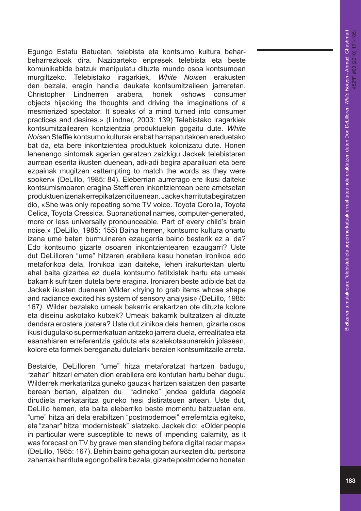Egungo Estatu Batuetan, telebista eta kontsumo kultura beharbeharrezkoak dira. Nazioarteko enpresek telebista eta beste komunikabide batzuk manipulatu dituzte mundo osoa kontsumoan murgiltzeko. Telebistako iragarkiek, *White Noise*n erakusten den bezala, eragin handia daukate kontsumitzaileen jarreretan. Christopher Lindnerren arabera, honek «shows consumer objects hijacking the thoughts and driving the imaginations of a mesmerized spectator. It speaks of a mind turned into consumer practices and desires.» (Lindner, 2003: 139) Telebistako iragarkiek kontsumitzailearen kontzientzia produktuekin gogaitu dute. *White Noise*n Steffie kontsumo kulturak erabat harrapatutakoen ereduetako bat da, eta bere inkontzientea produktuek kolonizatu dute. Honen lehenengo sintomak agerian geratzen zaizkigu Jackek telebistaren aurrean eserita ikusten duenean, adi-adi begira aparailuari eta bere ezpainak mugitzen «attempting to match the words as they were spoken» (DeLillo, 1985: 84). Eleberrian aurrerago ere ikusi daiteke kontsumismoaren eragina Steffieren inkontzientean bere ametsetan produktuen izenak errepikatzen dituenean. Jackek harrituta begiratzen dio, «She was only repeating some TV voice. Toyota Corolla, Toyota Celica, Toyota Cressida. Supranational names, computer-generated, more or less universally pronounceable. Part of every child's brain noise.» (DeLillo, 1985: 155) Baina hemen, kontsumo kultura onartu izana ume baten burmuinaren ezaugarria baino besterik ez al da? Edo kontsumo gizarte osoaren inkontzientearen ezaugarri? Uste dut DeLilloren "ume" hitzaren erabilera kasu honetan ironikoa edo metaforikoa dela. Ironikoa izan daiteke, lehen irakurtektan ulertu ahal baita gizartea ez duela kontsumo fetitxistak hartu eta umeek bakarrik sufritzen dutela bere eragina. Ironiaren beste adibide bat da Jackek ikusten duenean Wilder «trying to grab items whose shape and radiance excited his system of sensory analysis» (DeLillo, 1985: 167*).* Wilder bezalako umeak bakarrik erakartzen ote dituzte kolore eta diseinu askotako kutxek? Umeak bakarrik bultzatzen al dituzte dendara erostera joatera? Uste dut zinikoa dela hemen, gizarte osoa ikusi dugulako supermerkatuan antzeko jarrera duela, errealitatea eta esanahiaren erreferentzia galduta eta azalekotasunarekin jolasean, kolore eta formek bereganatu dutelarik beraien kontsumitzaile arreta.

Bestalde, DeLilloren "ume" hitza metaforatzat hartzen badugu, "zahar" hitzari ematen dion erabilera ere kontutan hartu behar dugu. Wilderrek merkataritza guneko gauzak hartzen saiatzen den pasarte berean bertan, aipatzen du "adineko" jendea galduta dagoela dirudiela merkataritza guneko hesi distiratsuen artean. Uste dut, DeLillo hemen, eta baita eleberriko beste momentu batzuetan ere, "ume" hitza ari dela erabiltzen "postmodernoei" erreferntzia egiteko, eta "zahar" hitza "modernisteak" islatzeko. Jackek dio: «Older people in particular were susceptible to news of impending calamity, as it was forecast on TV by grave men standing before digital radar maps» (DeLillo, 1985: 167). Behin baino gehaigotan aurkezten ditu pertsona zaharrak harrituta egongo balira bezala, gizarte postmoderno honetan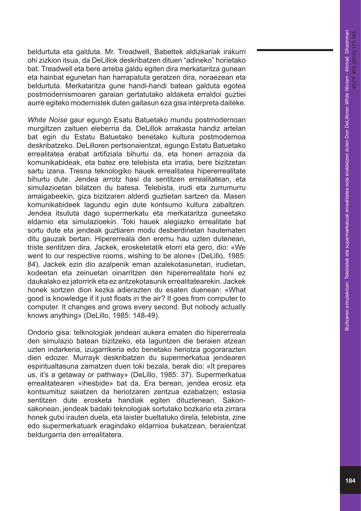beldurtuta eta galduta. Mr. Treadwell, Babettek aldizkariak irakurri ohi zizkion itsua, da DeLillok deskribatzen dituen "adineko" horietako bat. Treadwell eta bere arreba galdu egiten dira merkataritza gunean eta hainbat egunetan han harrapatuta geratzen dira, noraezean eta beldurtuta. Merkataritza gune handi-handi batean galduta egotea postmodernismoaren garaian gertatutako aldaketa erraldoi guztiei aurre egiteko modernistek duten gaitasun eza gisa interpreta daiteke.

*White Noise* gaur egungo Esatu Batuetako mundu postmodernoan murgiltzen zaituen eleberria da. DeLillok arrakasta handiz artelan bat egin du Estatu Batuetako benetako kultura postmodernoa deskribatzeko. DeLilloren pertsonaientzat, egungo Estatu Batuetako errealitatea erabat artifiziala bihurtu da, eta honen arrazoia da komunikabideak, eta batez ere telebista eta irratia, bere bizitzetan sartu izana. Tresna teknologiko hauek errealitatea hipererrealitate bihurtu dute. Jendea arrotz hasi da sentitzen errealitatean, eta simulazioetan bilatzen du batesa. Telebista, irudi eta zurrumurru amaigabeekin, giza bizitzaren alderdi guztietan sartzen da. Masen komunikabideek lagundu egin dute kontsumo kultura zabaltzen. Jendea itsututa dago supermerkatu eta merkataritza guneetako eldarnio eta simulazioekin. Toki hauek alegiazko errealitate bat sortu dute eta jendeak guztiaren modu desberdinetan hautematen ditu gauzak bertan. Hipererreala den eremu hau uzten dutenean, triste sentitzen dira. Jackek, erosketetatik etorri eta gero, dio: «We went to our respective rooms, wishing to be alone» (DeLillo, 1985: 84). Jackek ezin dio azalpenik eman azalekotasunetan, irudietan, kodeetan eta zeinuetan oinarritzen den hipererrealitate honi ez daukalako ez jatorririk eta ez antzekotasunik errealitatearekin. Jackek honek sortzen dion kezka adierazten du esaten duenean: «What good is knowledge if it just floats in the air? It goes from computer to computer. It changes and grows every second. But nobody actually knows anything» (DeLillo, 1985: 148-49).

Ondorio gisa: telknologiak jendeari aukera ematen dio hipererreala den simulazio batean bizitzeko, eta laguntzen die beraien atzean uzten indarkeria, izugarrikeria edo benetako heriotza gogorarazten dien edozer. Murrayk deskribatzen du supermerkatua jendearen espiritualtasuna zamatzen duen toki bezala, berak dio: «It prepares us, it's a getaway or pathway» (DeLillo, 1985: 37). Supermerkatua errealitatearen «ihesbide» bat da. Era berean, jendea erosiz eta kontsumituz saiatzen da heriotzaren zentzua ezabatzen; estasia sentitzen dute erosketa handiak egiten dituztenean. Sakonsakonean, jendeak badaki teknologiak sortutako bozkario eta zirrara honek gutxi irauten duela, eta laister bueltatuko direla, telebista, zine edo supermerkatuark eragindako eldarnioa bukatzean, beraientzat beldurgarria den errealitatera.